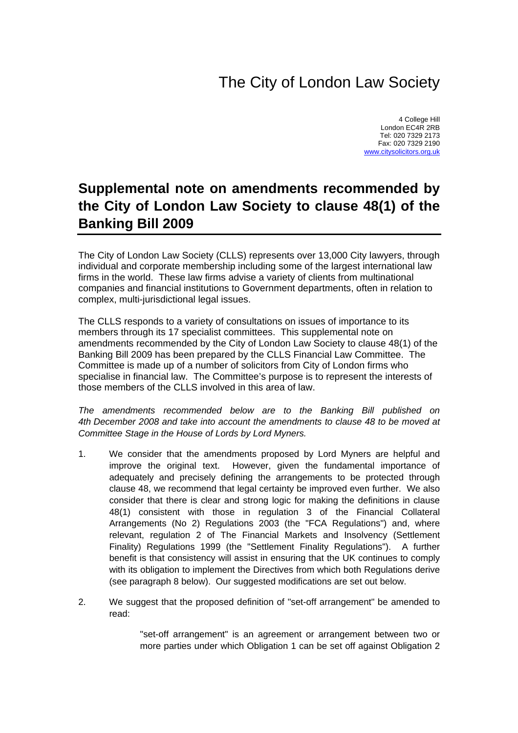## The City of London Law Society

4 College Hill London EC4R 2RB Tel: 020 7329 2173 Fax: 020 7329 2190 [www.citysolicitors.org.uk](http://www.citysolicitors.org.uk/)

## **Supplemental note on amendments recommended by the City of London Law Society to clause 48(1) of the Banking Bill 2009**

The City of London Law Society (CLLS) represents over 13,000 City lawyers, through individual and corporate membership including some of the largest international law firms in the world. These law firms advise a variety of clients from multinational companies and financial institutions to Government departments, often in relation to complex, multi-jurisdictional legal issues.

The CLLS responds to a variety of consultations on issues of importance to its members through its 17 specialist committees. This supplemental note on amendments recommended by the City of London Law Society to clause 48(1) of the Banking Bill 2009 has been prepared by the CLLS Financial Law Committee. The Committee is made up of a number of solicitors from City of London firms who specialise in financial law. The Committee's purpose is to represent the interests of those members of the CLLS involved in this area of law.

*The amendments recommended below are to the Banking Bill published on 4th December 2008 and take into account the amendments to clause 48 to be moved at Committee Stage in the House of Lords by Lord Myners.* 

- 1. We consider that the amendments proposed by Lord Myners are helpful and improve the original text. However, given the fundamental importance of adequately and precisely defining the arrangements to be protected through clause 48, we recommend that legal certainty be improved even further. We also consider that there is clear and strong logic for making the definitions in clause 48(1) consistent with those in regulation 3 of the Financial Collateral Arrangements (No 2) Regulations 2003 (the "FCA Regulations") and, where relevant, regulation 2 of The Financial Markets and Insolvency (Settlement Finality) Regulations 1999 (the "Settlement Finality Regulations"). A further benefit is that consistency will assist in ensuring that the UK continues to comply with its obligation to implement the Directives from which both Regulations derive (see paragraph 8 below). Our suggested modifications are set out below.
- 2. We suggest that the proposed definition of "set-off arrangement" be amended to read:

"set-off arrangement" is an agreement or arrangement between two or more parties under which Obligation 1 can be set off against Obligation 2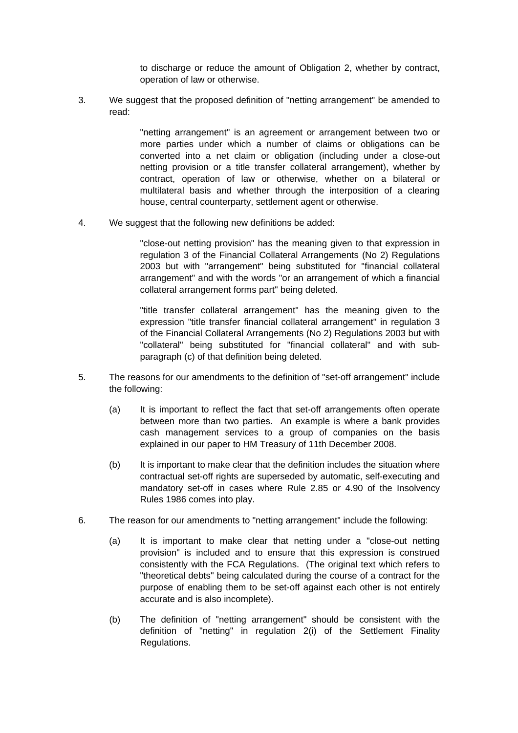to discharge or reduce the amount of Obligation 2, whether by contract, operation of law or otherwise.

3. We suggest that the proposed definition of "netting arrangement" be amended to read:

> "netting arrangement" is an agreement or arrangement between two or more parties under which a number of claims or obligations can be converted into a net claim or obligation (including under a close-out netting provision or a title transfer collateral arrangement), whether by contract, operation of law or otherwise, whether on a bilateral or multilateral basis and whether through the interposition of a clearing house, central counterparty, settlement agent or otherwise.

4. We suggest that the following new definitions be added:

"close-out netting provision" has the meaning given to that expression in regulation 3 of the Financial Collateral Arrangements (No 2) Regulations 2003 but with "arrangement" being substituted for "financial collateral arrangement" and with the words "or an arrangement of which a financial collateral arrangement forms part" being deleted.

"title transfer collateral arrangement" has the meaning given to the expression "title transfer financial collateral arrangement" in regulation 3 of the Financial Collateral Arrangements (No 2) Regulations 2003 but with "collateral" being substituted for "financial collateral" and with subparagraph (c) of that definition being deleted.

- <span id="page-1-0"></span>5. The reasons for our amendments to the definition of "set-off arrangement" include the following:
	- (a) It is important to reflect the fact that set-off arrangements often operate between more than two parties. An example is where a bank provides cash management services to a group of companies on the basis explained in our paper to HM Treasury of 11th December 2008.
	- (b) It is important to make clear that the definition includes the situation where contractual set-off rights are superseded by automatic, self-executing and mandatory set-off in cases where Rule 2.85 or 4.90 of the Insolvency Rules 1986 comes into play.
- <span id="page-1-1"></span>6. The reason for our amendments to "netting arrangement" include the following:
	- (a) It is important to make clear that netting under a "close-out netting provision" is included and to ensure that this expression is construed consistently with the FCA Regulations. (The original text which refers to "theoretical debts" being calculated during the course of a contract for the purpose of enabling them to be set-off against each other is not entirely accurate and is also incomplete).
	- (b) The definition of "netting arrangement" should be consistent with the definition of "netting" in regulation 2(i) of the Settlement Finality Regulations.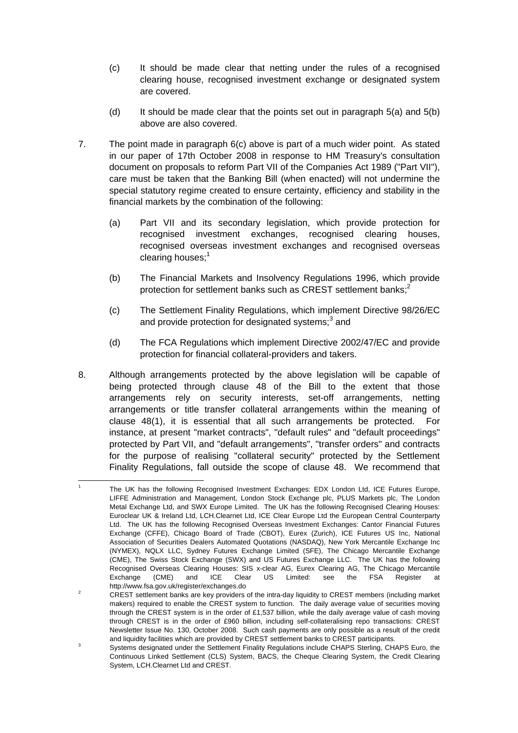- (c) It should be made clear that netting under the rules of a recognised clearing house, recognised investment exchange or designated system are covered.
- (d) It should be made clear that the points set out in paragraph  $5(a)$  and  $5(b)$ above are also covered.
- 7. The point made in paragraph 6(c) above is part of a much wider point. As stated in our paper of 17th October 2008 in response to HM Treasury's consultation document on proposals to reform Part VII of the Companies Act 1989 ("Part VII"), care must be taken that the Banking Bill (when enacted) will not undermine the special statutory regime created to ensure certainty, efficiency and stability in the financial markets by the combination of the following:
	- (a) Part VII and its secondary legislation, which provide protection for recognised investment exchanges, recognised clearing houses, recognised overseas investment exchanges and recognised overseas clearing houses; $<sup>1</sup>$  $<sup>1</sup>$  $<sup>1</sup>$ </sup>
	- (b) The Financial Markets and Insolvency Regulations 1996, which provide protection for settlement banks such as CREST settlement banks; $<sup>2</sup>$ </sup>
	- (c) The Settlement Finality Regulations, which implement Directive 98/26/EC and provide protection for designated systems; $^3$  $^3$  and
	- (d) The FCA Regulations which implement Directive 2002/47/EC and provide protection for financial collateral-providers and takers.
- 8. Although arrangements protected by the above legislation will be capable of being protected through clause 48 of the Bill to the extent that those arrangements rely on security interests, set-off arrangements, netting arrangements or title transfer collateral arrangements within the meaning of clause 48(1), it is essential that all such arrangements be protected. For instance, at present "market contracts", "default rules" and "default proceedings" protected by Part VII, and "default arrangements", "transfer orders" and contracts for the purpose of realising "collateral security" protected by the Settlement Finality Regulations, fall outside the scope of clause 48. We recommend that

<span id="page-2-0"></span>1

 $\overline{a}$  The UK has the following Recognised Investment Exchanges: EDX London Ltd, ICE Futures Europe, LIFFE Administration and Management, London Stock Exchange plc, PLUS Markets plc, The London Metal Exchange Ltd, and SWX Europe Limited. The UK has the following Recognised Clearing Houses: Euroclear UK & Ireland Ltd, LCH.Clearnet Ltd, ICE Clear Europe Ltd the European Central Counterparty Ltd. The UK has the following Recognised Overseas Investment Exchanges: Cantor Financial Futures Exchange (CFFE), Chicago Board of Trade (CBOT), Eurex (Zurich), ICE Futures US Inc, National Association of Securities Dealers Automated Quotations (NASDAQ), New York Mercantile Exchange Inc (NYMEX), NQLX LLC, Sydney Futures Exchange Limited (SFE), The Chicago Mercantile Exchange (CME), The Swiss Stock Exchange (SWX) and US Futures Exchange LLC. The UK has the following Recognised Overseas Clearing Houses: SIS x-clear AG, Eurex Clearing AG, The Chicago Mercantile Exchange (CME) and ICE Clear US Limited: see the FSA Register at http://www.fsa.gov.uk/register/exchanges.do 2

<span id="page-2-1"></span>CREST settlement banks are key providers of the intra-day liquidity to CREST members (including market makers) required to enable the CREST system to function. The daily average value of securities moving through the CREST system is in the order of £1,537 billion, while the daily average value of cash moving through CREST is in the order of £960 billion, including self-collateralising repo transactions: CREST Newsletter Issue No. 130, October 2008. Such cash payments are only possible as a result of the credit and liquidity facilities which are provided by CREST settlement banks to CREST participants.

<span id="page-2-2"></span>Systems designated under the Settlement Finality Regulations include CHAPS Sterling, CHAPS Euro, the Continuous Linked Settlement (CLS) System, BACS, the Cheque Clearing System, the Credit Clearing System, LCH.Clearnet Ltd and CREST.